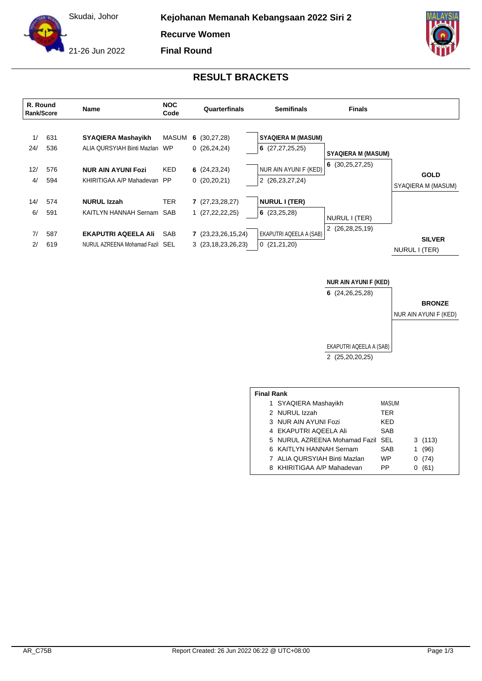Skudai, Johor

**Kejohanan Memanah Kebangsaan 2022 Siri 2**

**Recurve Women**



**Final Round**



## **RESULT BRACKETS**



## **NUR AIN AYUNI F (KED)**

**6** (24,26,25,28)

**BRONZE**

NUR AIN AYUNI F (KED)

EKAPUTRI AQEELA A (SAB) 2 (25,20,20,25)

| <b>Final Rank</b> |                                   |            |   |        |  |  |  |  |
|-------------------|-----------------------------------|------------|---|--------|--|--|--|--|
|                   | 1 SYAQIERA Mashayikh              | MASUM      |   |        |  |  |  |  |
|                   | 2 NURUL Izzah                     | TER        |   |        |  |  |  |  |
|                   | 3 NUR AIN AYUNI Fozi              | <b>KFD</b> |   |        |  |  |  |  |
|                   | 4 EKAPUTRI AQEELA Ali             | SAB        |   |        |  |  |  |  |
|                   | 5 NURUL AZREENA Mohamad Fazil SEL |            |   | 3(113) |  |  |  |  |
|                   | 6 KAITLYN HANNAH Sernam           | SAB        | 1 | (96)   |  |  |  |  |
|                   | 7 ALIA QURSYIAH Binti Mazlan      | WP         | O | (74)   |  |  |  |  |
|                   | 8 KHIRITIGAA A/P Mahadevan        | PP         |   | (61)   |  |  |  |  |
|                   |                                   |            |   |        |  |  |  |  |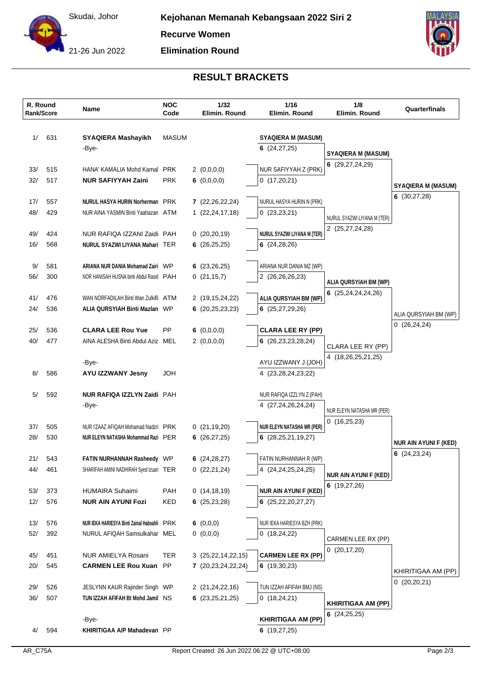

**Elimination Round**



## **RESULT BRACKETS**

|            | R. Round<br>Rank/Score | Name                                                                         | <b>NOC</b><br>Code | 1/32<br>Elimin. Round           | 1/16<br>Elimin. Round                                  | 1/8<br>Elimin. Round                      | Quarterfinals                                 |
|------------|------------------------|------------------------------------------------------------------------------|--------------------|---------------------------------|--------------------------------------------------------|-------------------------------------------|-----------------------------------------------|
| 1/         | 631                    | <b>SYAQIERA Mashayikh</b>                                                    | <b>MASUM</b>       |                                 | <b>SYAQIERA M (MASUM)</b>                              |                                           |                                               |
|            |                        | -Bye-                                                                        |                    |                                 | 6(24, 27, 25)                                          |                                           |                                               |
|            |                        |                                                                              |                    |                                 |                                                        | <b>SYAQIERA M (MASUM)</b>                 |                                               |
| 33/        | 515                    | HANA' KAMALIA Mohd Kamal PRK                                                 |                    | 2(0,0,0,0)                      | NUR SAFIYYAH Z (PRK)                                   | 6 (29,27,24,29)                           |                                               |
| 32/        | 517                    | <b>NUR SAFIYYAH Zaini</b>                                                    | <b>PRK</b>         | 6 $(0,0,0,0)$                   | 0(17,20,21)                                            |                                           |                                               |
|            |                        |                                                                              |                    |                                 |                                                        |                                           | <b>SYAQIERA M (MASUM)</b><br>6 $(30, 27, 28)$ |
| 17/        | 557                    | NURUL HASYA HURIN Norherman PRK                                              |                    | 7(22,26,22,24)                  | NURUL HASYA HURIN N (PRK)                              |                                           |                                               |
| 48/        | 429                    | NUR AINA YASMIN Binti Yaahazan ATM                                           |                    | 1(22,24,17,18)                  | 0(23,23,21)                                            | NURUL SYAZWI LIYANA M (TER)               |                                               |
|            |                        |                                                                              |                    |                                 |                                                        | 2 (25,27,24,28)                           |                                               |
| 49/<br>16/ | 424<br>568             | NUR RAFIQA IZZANI Zaidi PAH<br>NURUL SYAZWI LIYANA Mahari TER                |                    | 0(20,20,19)<br>6 $(26, 25, 25)$ | <b>NURUL SYAZWI LIYANA M (TER)</b><br>6 $(24, 28, 26)$ |                                           |                                               |
|            |                        |                                                                              |                    |                                 |                                                        |                                           |                                               |
| 9/         | 581                    | ARIANA NUR DANIA Mohamad Zairi WP                                            |                    | 6 $(23, 26, 25)$                | ARIANA NUR DANIA MZ (WP)                               |                                           |                                               |
| 56/        | 300                    | NOR HANISAH HUSNA binti Abdul Rasid PAH                                      |                    | 0(21, 15, 7)                    | 2 (26,26,26,23)                                        |                                           |                                               |
|            |                        |                                                                              |                    |                                 |                                                        | ALIA QURSYIAH BM (WP)                     |                                               |
| 41/        | 476                    | WAN NORFADILAH Binti Wan Zulkifli ATM                                        |                    | 2 (19,15,24,22)                 | ALIA QURSYIAH BM (WP)                                  | 6 $(25, 24, 24, 24, 26)$                  |                                               |
| 24/        | 536                    | <b>ALIA QURSYIAH Binti Mazlan WP</b>                                         |                    | 6(20, 25, 23, 23)               | 6(25,27,29,26)                                         |                                           | ALIA QURSYIAH BM (WP)                         |
|            |                        |                                                                              |                    |                                 |                                                        |                                           | 0(26, 24, 24)                                 |
| 25/        | 536                    | <b>CLARA LEE Rou Yue</b>                                                     | <b>PP</b>          | 6 $(0,0,0,0)$                   | <b>CLARA LEE RY (PP)</b>                               |                                           |                                               |
| 40/        | 477                    | AINA ALESHA Binti Abdul Aziz MEL                                             |                    | 2(0,0,0,0)                      | 6(26, 23, 23, 28, 24)                                  | CLARA LEE RY (PP)                         |                                               |
|            |                        | -Bye-                                                                        |                    |                                 | AYU IZZWANY J (JOH)                                    | 4 (18,26,25,21,25)                        |                                               |
| 8/         | 586                    | <b>AYU IZZWANY Jesny</b>                                                     | <b>HOL</b>         |                                 | 4 (23, 28, 24, 23, 22)                                 |                                           |                                               |
|            |                        |                                                                              |                    |                                 |                                                        |                                           |                                               |
| 5/         | 592                    | NUR RAFIQA IZZLYN Zaidi PAH                                                  |                    |                                 | NUR RAFIQA IZZLYN Z (PAH)                              |                                           |                                               |
|            |                        | -Bye-                                                                        |                    |                                 | 4 (27,24,26,24,24)                                     |                                           |                                               |
|            |                        |                                                                              |                    |                                 |                                                        | NUR ELEYN NATASHA MR (PER)<br>0(16,25,23) |                                               |
| 37/        | 505                    | NUR I'ZAAZ AFIQAH Mohamad Nadzri PRK                                         |                    | 0(21, 19, 20)                   | <b>NUR ELEYN NATASHA MR (PER)</b>                      |                                           |                                               |
| 28/        | 530                    | NUR ELEYN NATASHA Mohammad Razi PER                                          |                    | 6(26, 27, 25)                   | 6 $(28, 25, 21, 19, 27)$                               |                                           | <b>NUR AIN AYUNI F (KED)</b>                  |
|            |                        |                                                                              |                    |                                 |                                                        |                                           | 6(24,23,24)                                   |
| 21/<br>44/ | 543<br>461             | <b>FATIN NURHANNAH Rasheedy WP</b><br>SHARIFAH AMINI NADHIRAH Syed Izuan TER |                    | 6 $(24, 28, 27)$<br>0(22,21,24) | FATIN NURHANNAH R (WP)<br>4 (24, 24, 25, 24, 25)       |                                           |                                               |
|            |                        |                                                                              |                    |                                 |                                                        | <b>NUR AIN AYUNI F (KED)</b>              |                                               |
| 53/        | 373                    | <b>HUMAIRA Suhaimi</b>                                                       | PAH                | 0(14, 18, 19)                   | <b>NUR AIN AYUNI F (KED)</b>                           | 6(19,27,26)                               |                                               |
| 12/        | 576                    | <b>NUR AIN AYUNI Fozi</b>                                                    | KED                | 6 $(25, 23, 28)$                | 6(25,22,20,27,27)                                      |                                           |                                               |
|            |                        |                                                                              |                    |                                 |                                                        |                                           |                                               |
| 13/        | 576                    | NUR IEKA HARIESYA Binti Zainal Habsahli PRK                                  |                    | 6 $(0,0,0)$                     | NUR IEKA HARIESYA BZH (PRK)                            |                                           |                                               |
| 52/        | 392                    | NURUL AFIQAH Samsulkahar MEL                                                 |                    | 0(0,0,0)                        | 0(18,24,22)                                            | CARMEN LEE RX (PP)                        |                                               |
|            |                        |                                                                              |                    |                                 |                                                        | 0(20,17,20)                               |                                               |
| 45/        | 451                    | NUR AMIELYA Rosani                                                           | TER                | 3 (25,22,14,22,15)              | <b>CARMEN LEE RX (PP)</b>                              |                                           |                                               |
| 20/        | 545                    | <b>CARMEN LEE Rou Xuan PP</b>                                                |                    | 7 (20,23,24,22,24)              | 6(19,30,23)                                            |                                           | KHIRITIGAA AM (PP)                            |
| 29/        | 526                    | JESLYNN KAUR Rajinder Singh WP                                               |                    | 2 (21,24,22,16)                 | TUN IZZAH AFIFAH BMJ (NS)                              |                                           | 0(20,20,21)                                   |
| 36/        | 507                    | TUN IZZAH AFIFAH Bt Mohd Jamil NS                                            |                    | 6(23,25,21,25)                  | 0(18,24,21)                                            |                                           |                                               |
|            |                        |                                                                              |                    |                                 |                                                        | <b>KHIRITIGAA AM (PP)</b>                 |                                               |
|            |                        | -Bye-                                                                        |                    |                                 | <b>KHIRITIGAA AM (PP)</b>                              | 6 $(24, 25, 25)$                          |                                               |
| 4/         | 594                    | KHIRITIGAA A/P Mahadevan PP                                                  |                    |                                 | 6 $(19, 27, 25)$                                       |                                           |                                               |
|            |                        |                                                                              |                    |                                 |                                                        |                                           |                                               |